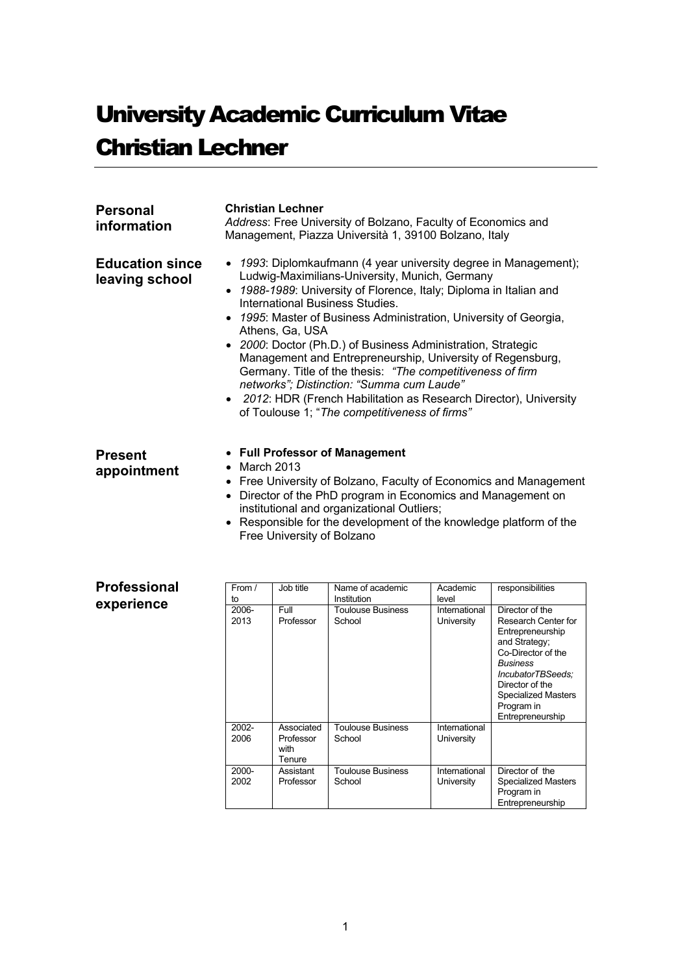# **University Academic Curriculum Vitae** Christian Lechner

| <b>Personal</b><br>information           | <b>Christian Lechner</b><br>Address: Free University of Bolzano, Faculty of Economics and<br>Management, Piazza Università 1, 39100 Bolzano, Italy                                                                                                                                                                                                                                                                                                                                                                                                                                                                                                                                  |
|------------------------------------------|-------------------------------------------------------------------------------------------------------------------------------------------------------------------------------------------------------------------------------------------------------------------------------------------------------------------------------------------------------------------------------------------------------------------------------------------------------------------------------------------------------------------------------------------------------------------------------------------------------------------------------------------------------------------------------------|
| <b>Education since</b><br>leaving school | • 1993: Diplomkaufmann (4 year university degree in Management);<br>Ludwig-Maximilians-University, Munich, Germany<br>• 1988-1989: University of Florence, Italy; Diploma in Italian and<br>International Business Studies.<br>• 1995: Master of Business Administration, University of Georgia,<br>Athens, Ga, USA<br>• 2000: Doctor (Ph.D.) of Business Administration, Strategic<br>Management and Entrepreneurship, University of Regensburg,<br>Germany. Title of the thesis: "The competitiveness of firm<br>networks"; Distinction: "Summa cum Laude"<br>• 2012: HDR (French Habilitation as Research Director), University<br>of Toulouse 1; "The competitiveness of firms" |
| <b>Present</b><br>appointment            | • Full Professor of Management<br>$\bullet$ March 2013<br>• Free University of Bolzano, Faculty of Economics and Management<br>• Director of the PhD program in Economics and Management on                                                                                                                                                                                                                                                                                                                                                                                                                                                                                         |

institutional and organizational Outliers; • Responsible for the development of the knowledge platform of the Free University of Bolzano

| <b>Professional</b><br>experience | From /<br>to  | Job title                                 | Name of academic<br>Institution    | Academic<br>level           | responsibilities                                                                                                                                                                                                      |
|-----------------------------------|---------------|-------------------------------------------|------------------------------------|-----------------------------|-----------------------------------------------------------------------------------------------------------------------------------------------------------------------------------------------------------------------|
|                                   | 2006-<br>2013 | <b>Full</b><br>Professor                  | <b>Toulouse Business</b><br>School | International<br>University | Director of the<br>Research Center for<br>Entrepreneurship<br>and Strategy;<br>Co-Director of the<br><b>Business</b><br>IncubatorTBSeeds:<br>Director of the<br>Specialized Masters<br>Program in<br>Entrepreneurship |
|                                   | 2002-<br>2006 | Associated<br>Professor<br>with<br>Tenure | <b>Toulouse Business</b><br>School | International<br>University |                                                                                                                                                                                                                       |
|                                   | 2000-<br>2002 | Assistant<br>Professor                    | <b>Toulouse Business</b><br>School | International<br>University | Director of the<br>Specialized Masters<br>Program in<br>Entrepreneurship                                                                                                                                              |

1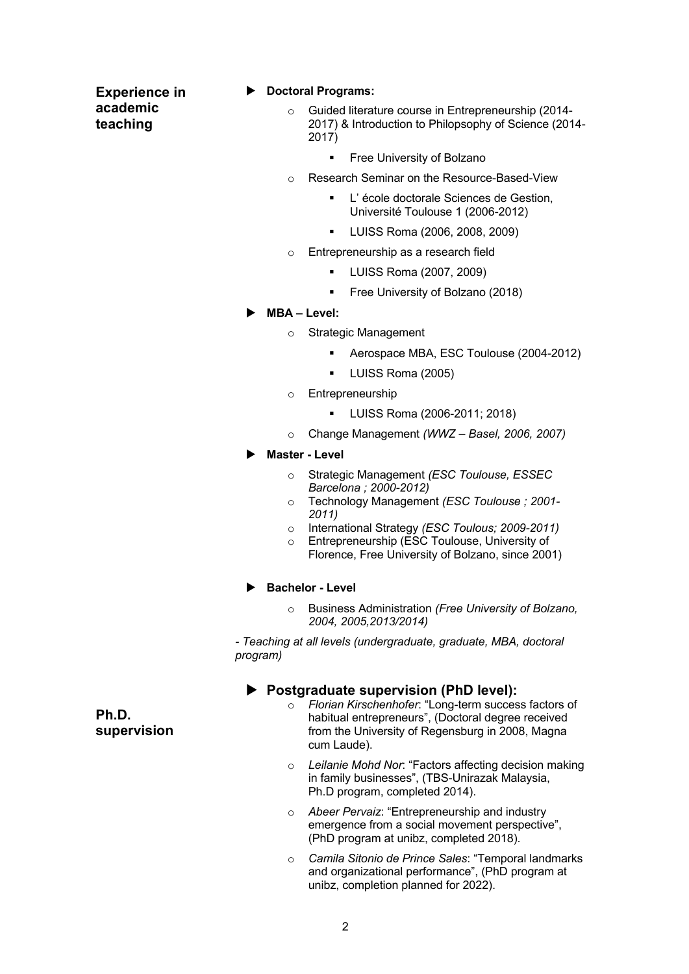**Experience in academic teaching**

### ▶ Doctoral Programs:

- o Guided literature course in Entrepreneurship (2014- 2017) & Introduction to Philopsophy of Science (2014- 2017)
	- § Free University of Bolzano
- o Research Seminar on the Resource-Based-View
	- L'école doctorale Sciences de Gestion. Université Toulouse 1 (2006-2012)
	- § LUISS Roma (2006, 2008, 2009)
- o Entrepreneurship as a research field
	- § LUISS Roma (2007, 2009)
	- § Free University of Bolzano (2018)

## $\blacktriangleright$  MBA – **Level**:

- o Strategic Management
	- § Aerospace MBA, ESC Toulouse (2004-2012)
	- § LUISS Roma (2005)
- o Entrepreneurship
	- § LUISS Roma (2006-2011; 2018)
- o Change Management *(WWZ – Basel, 2006, 2007)*

## u **Master - Level**

- o Strategic Management *(ESC Toulouse, ESSEC Barcelona ; 2000-2012)*
- o Technology Management *(ESC Toulouse ; 2001- 2011)*
- o International Strategy *(ESC Toulous; 2009-2011)*
- o Entrepreneurship (ESC Toulouse, University of Florence, Free University of Bolzano, since 2001)

### **Bachelor - Level**

o Business Administration *(Free University of Bolzano, 2004, 2005,2013/2014)*

*- Teaching at all levels (undergraduate, graduate, MBA, doctoral program)*

# **Postgraduate supervision (PhD level):**

- o *Florian Kirschenhofer*: "Long-term success factors of habitual entrepreneurs", (Doctoral degree received from the University of Regensburg in 2008, Magna cum Laude).
- o *Leilanie Mohd Nor*: "Factors affecting decision making in family businesses", (TBS-Unirazak Malaysia, Ph.D program, completed 2014).
- Abeer Pervaiz: "Entrepreneurship and industry emergence from a social movement perspective", (PhD program at unibz, completed 2018).
- o *Camila Sitonio de Prince Sales*: "Temporal landmarks and organizational performance", (PhD program at unibz, completion planned for 2022).

**Ph.D. supervision**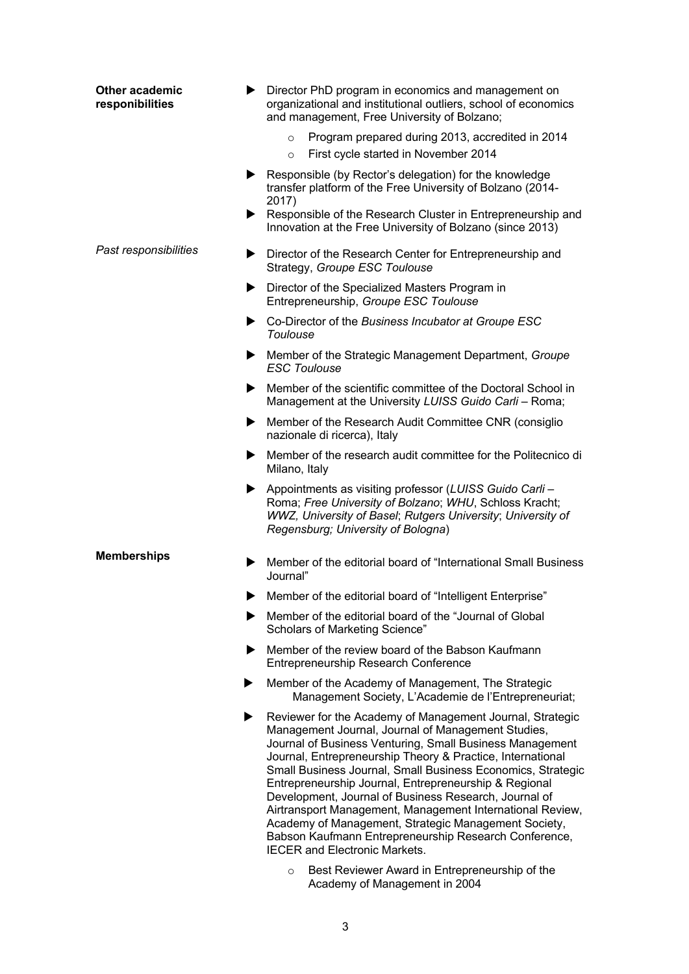| <b>Other academic</b><br>responibilities |   | Director PhD program in economics and management on<br>organizational and institutional outliers, school of economics<br>and management, Free University of Bolzano;                                                                                                                                                                                                                                                                                                                                                                                                                                                                             |
|------------------------------------------|---|--------------------------------------------------------------------------------------------------------------------------------------------------------------------------------------------------------------------------------------------------------------------------------------------------------------------------------------------------------------------------------------------------------------------------------------------------------------------------------------------------------------------------------------------------------------------------------------------------------------------------------------------------|
|                                          |   | Program prepared during 2013, accredited in 2014<br>$\circ$<br>First cycle started in November 2014<br>$\circ$                                                                                                                                                                                                                                                                                                                                                                                                                                                                                                                                   |
|                                          |   | Responsible (by Rector's delegation) for the knowledge<br>transfer platform of the Free University of Bolzano (2014-<br>2017)<br>Responsible of the Research Cluster in Entrepreneurship and                                                                                                                                                                                                                                                                                                                                                                                                                                                     |
|                                          |   | Innovation at the Free University of Bolzano (since 2013)                                                                                                                                                                                                                                                                                                                                                                                                                                                                                                                                                                                        |
| Past responsibilities                    |   | Director of the Research Center for Entrepreneurship and<br>Strategy, Groupe ESC Toulouse                                                                                                                                                                                                                                                                                                                                                                                                                                                                                                                                                        |
|                                          | ▶ | Director of the Specialized Masters Program in<br>Entrepreneurship, Groupe ESC Toulouse                                                                                                                                                                                                                                                                                                                                                                                                                                                                                                                                                          |
|                                          |   | ► Co-Director of the Business Incubator at Groupe ESC<br>Toulouse                                                                                                                                                                                                                                                                                                                                                                                                                                                                                                                                                                                |
|                                          |   | Member of the Strategic Management Department, Groupe<br><b>ESC Toulouse</b>                                                                                                                                                                                                                                                                                                                                                                                                                                                                                                                                                                     |
|                                          |   | Member of the scientific committee of the Doctoral School in<br>Management at the University LUISS Guido Carli - Roma;                                                                                                                                                                                                                                                                                                                                                                                                                                                                                                                           |
|                                          | ▶ | Member of the Research Audit Committee CNR (consiglio<br>nazionale di ricerca), Italy                                                                                                                                                                                                                                                                                                                                                                                                                                                                                                                                                            |
|                                          | ▶ | Member of the research audit committee for the Politecnico di<br>Milano, Italy                                                                                                                                                                                                                                                                                                                                                                                                                                                                                                                                                                   |
|                                          | ▶ | Appointments as visiting professor (LUISS Guido Carli -<br>Roma; Free University of Bolzano; WHU, Schloss Kracht;<br>WWZ, University of Basel; Rutgers University; University of<br>Regensburg; University of Bologna)                                                                                                                                                                                                                                                                                                                                                                                                                           |
| <b>Memberships</b>                       |   | Member of the editorial board of "International Small Business<br>Journal"                                                                                                                                                                                                                                                                                                                                                                                                                                                                                                                                                                       |
|                                          |   | Member of the editorial board of "Intelligent Enterprise"                                                                                                                                                                                                                                                                                                                                                                                                                                                                                                                                                                                        |
|                                          |   | Member of the editorial board of the "Journal of Global<br>Scholars of Marketing Science"                                                                                                                                                                                                                                                                                                                                                                                                                                                                                                                                                        |
|                                          |   | Member of the review board of the Babson Kaufmann<br>Entrepreneurship Research Conference                                                                                                                                                                                                                                                                                                                                                                                                                                                                                                                                                        |
|                                          |   | Member of the Academy of Management, The Strategic<br>Management Society, L'Academie de l'Entrepreneuriat;                                                                                                                                                                                                                                                                                                                                                                                                                                                                                                                                       |
|                                          |   | Reviewer for the Academy of Management Journal, Strategic<br>Management Journal, Journal of Management Studies,<br>Journal of Business Venturing, Small Business Management<br>Journal, Entrepreneurship Theory & Practice, International<br>Small Business Journal, Small Business Economics, Strategic<br>Entrepreneurship Journal, Entrepreneurship & Regional<br>Development, Journal of Business Research, Journal of<br>Airtransport Management, Management International Review,<br>Academy of Management, Strategic Management Society,<br>Babson Kaufmann Entrepreneurship Research Conference,<br><b>IECER and Electronic Markets.</b> |
|                                          |   |                                                                                                                                                                                                                                                                                                                                                                                                                                                                                                                                                                                                                                                  |

o Best Reviewer Award in Entrepreneurship of the Academy of Management in 2004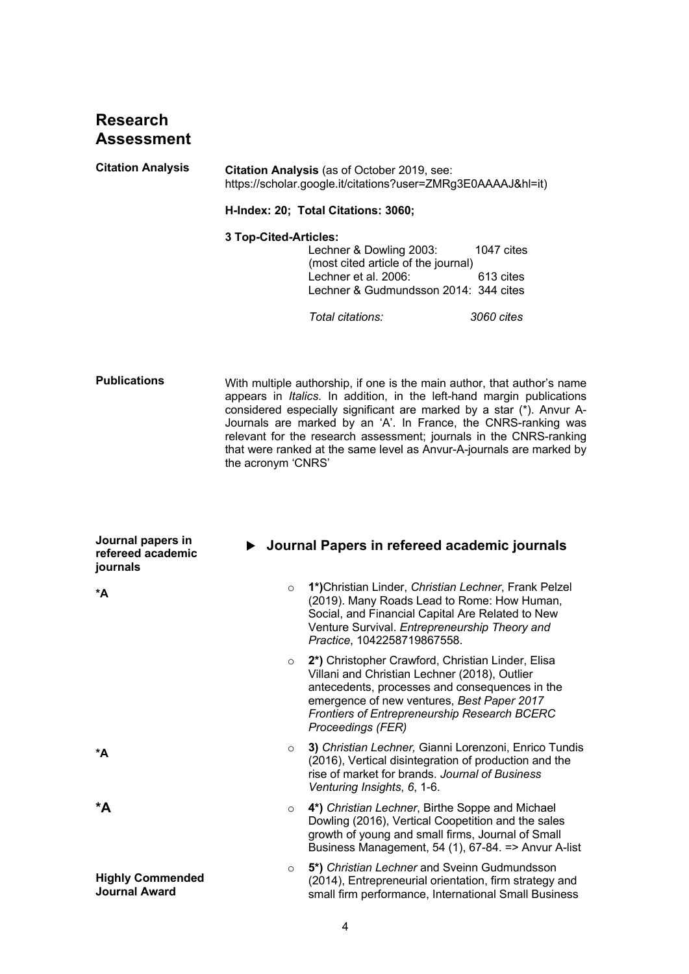# **Research Assessment**

| <b>Citation Analysis</b>                           | Citation Analysis (as of October 2019, see:<br>https://scholar.google.it/citations?user=ZMRg3E0AAAAJ&hl=it) |                                                                                                                                                                                                                                                                                                                                                                  |                         |  |
|----------------------------------------------------|-------------------------------------------------------------------------------------------------------------|------------------------------------------------------------------------------------------------------------------------------------------------------------------------------------------------------------------------------------------------------------------------------------------------------------------------------------------------------------------|-------------------------|--|
|                                                    | H-Index: 20; Total Citations: 3060;                                                                         |                                                                                                                                                                                                                                                                                                                                                                  |                         |  |
|                                                    | 3 Top-Cited-Articles:                                                                                       | Lechner & Dowling 2003:<br>(most cited article of the journal)<br>Lechner et al. 2006:<br>Lechner & Gudmundsson 2014: 344 cites                                                                                                                                                                                                                                  | 1047 cites<br>613 cites |  |
|                                                    |                                                                                                             | Total citations:                                                                                                                                                                                                                                                                                                                                                 | 3060 cites              |  |
| <b>Publications</b>                                |                                                                                                             | With multiple authorship, if one is the main author, that author's name<br>appears in Italics. In addition, in the left-hand margin publications<br>considered especially significant are marked by a star (*). Anvur A-<br>Journals are marked by an 'A'. In France, the CNRS-ranking was<br>relevant for the research assessment; journals in the CNRS-ranking |                         |  |
|                                                    | the acronym 'CNRS'                                                                                          | that were ranked at the same level as Anvur-A-journals are marked by                                                                                                                                                                                                                                                                                             |                         |  |
| Journal papers in<br>refereed academic<br>journals |                                                                                                             | ▶ Journal Papers in refereed academic journals                                                                                                                                                                                                                                                                                                                   |                         |  |
| *A                                                 | $\circ$                                                                                                     | 1*) Christian Linder, Christian Lechner, Frank Pelzel<br>(2019). Many Roads Lead to Rome: How Human,<br>Social, and Financial Capital Are Related to New<br>Venture Survival. Entrepreneurship Theory and<br>Practice, 1042258719867558.                                                                                                                         |                         |  |
|                                                    | $\circ$                                                                                                     | 2*) Christopher Crawford, Christian Linder, Elisa<br>Villani and Christian Lechner (2018), Outlier<br>antecedents, processes and consequences in the<br>emergence of new ventures, Best Paper 2017<br><b>Frontiers of Entrepreneurship Research BCERC</b><br>Proceedings (FER)                                                                                   |                         |  |
| *A                                                 | $\circ$                                                                                                     | 3) Christian Lechner, Gianni Lorenzoni, Enrico Tundis<br>(2016), Vertical disintegration of production and the<br>rise of market for brands. Journal of Business<br>Venturing Insights, 6, 1-6.                                                                                                                                                                  |                         |  |
| *A                                                 | $\circ$                                                                                                     | 4*) Christian Lechner, Birthe Soppe and Michael<br>Dowling (2016), Vertical Coopetition and the sales<br>growth of young and small firms, Journal of Small<br>Business Management, 54 (1), 67-84. = > Anvur A-list                                                                                                                                               |                         |  |
| <b>Highly Commended</b><br><b>Journal Award</b>    | O                                                                                                           | 5*) Christian Lechner and Sveinn Gudmundsson<br>(2014), Entrepreneurial orientation, firm strategy and<br>small firm performance, International Small Business                                                                                                                                                                                                   |                         |  |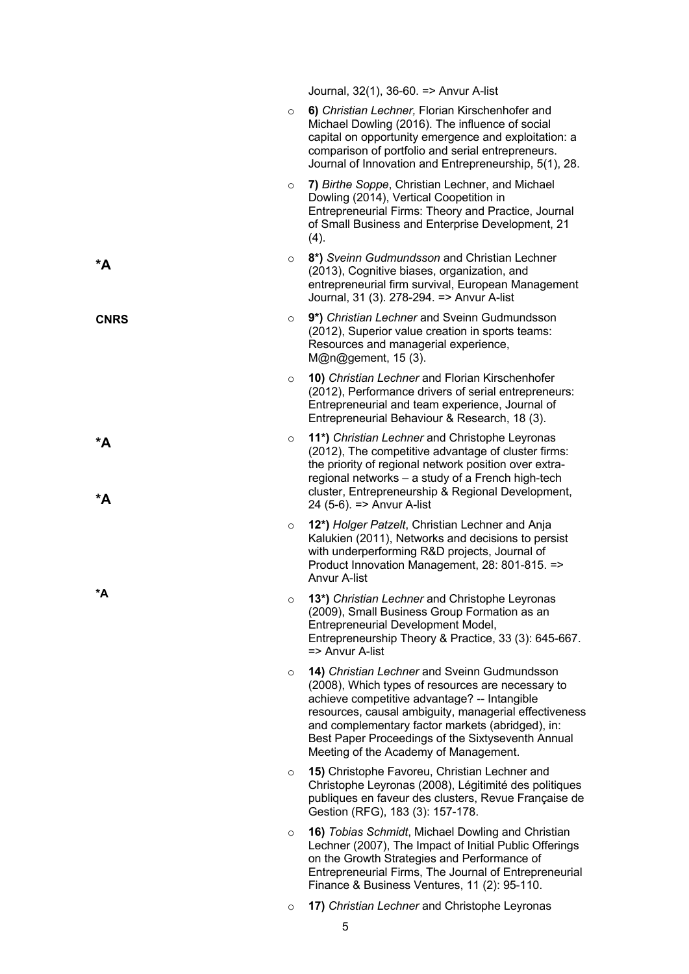|             |         | Journal, 32(1), 36-60. = > Anvur A-list                                                                                                                                                                                                                                                                                                                      |
|-------------|---------|--------------------------------------------------------------------------------------------------------------------------------------------------------------------------------------------------------------------------------------------------------------------------------------------------------------------------------------------------------------|
|             | $\circ$ | 6) Christian Lechner, Florian Kirschenhofer and<br>Michael Dowling (2016). The influence of social<br>capital on opportunity emergence and exploitation: a<br>comparison of portfolio and serial entrepreneurs.<br>Journal of Innovation and Entrepreneurship, 5(1), 28.                                                                                     |
|             | $\circ$ | 7) Birthe Soppe, Christian Lechner, and Michael<br>Dowling (2014), Vertical Coopetition in<br>Entrepreneurial Firms: Theory and Practice, Journal<br>of Small Business and Enterprise Development, 21<br>(4).                                                                                                                                                |
| *A          | $\circ$ | 8*) Sveinn Gudmundsson and Christian Lechner<br>(2013), Cognitive biases, organization, and<br>entrepreneurial firm survival, European Management<br>Journal, 31 (3). 278-294. = > Anvur A-list                                                                                                                                                              |
| <b>CNRS</b> | $\circ$ | 9*) Christian Lechner and Sveinn Gudmundsson<br>(2012), Superior value creation in sports teams:<br>Resources and managerial experience,<br>M@n@gement, 15 (3).                                                                                                                                                                                              |
|             | $\circ$ | 10) Christian Lechner and Florian Kirschenhofer<br>(2012), Performance drivers of serial entrepreneurs:<br>Entrepreneurial and team experience, Journal of<br>Entrepreneurial Behaviour & Research, 18 (3).                                                                                                                                                  |
| $*A$<br>*A  | $\circ$ | 11*) Christian Lechner and Christophe Leyronas<br>(2012), The competitive advantage of cluster firms:<br>the priority of regional network position over extra-<br>regional networks - a study of a French high-tech<br>cluster, Entrepreneurship & Regional Development,<br>24 (5-6). => Anvur A-list                                                        |
|             | $\circ$ | 12*) Holger Patzelt, Christian Lechner and Anja<br>Kalukien (2011), Networks and decisions to persist<br>with underperforming R&D projects, Journal of<br>Product Innovation Management, 28: 801-815. =><br><b>Anvur A-list</b>                                                                                                                              |
| *A          | $\circ$ | 13*) Christian Lechner and Christophe Leyronas<br>(2009), Small Business Group Formation as an<br>Entrepreneurial Development Model,<br>Entrepreneurship Theory & Practice, 33 (3): 645-667.<br>=> Anvur A-list                                                                                                                                              |
|             | $\circ$ | 14) Christian Lechner and Sveinn Gudmundsson<br>(2008), Which types of resources are necessary to<br>achieve competitive advantage? -- Intangible<br>resources, causal ambiguity, managerial effectiveness<br>and complementary factor markets (abridged), in:<br>Best Paper Proceedings of the Sixtyseventh Annual<br>Meeting of the Academy of Management. |
|             | $\circ$ | 15) Christophe Favoreu, Christian Lechner and<br>Christophe Leyronas (2008), Légitimité des politiques<br>publiques en faveur des clusters, Revue Française de<br>Gestion (RFG), 183 (3): 157-178.                                                                                                                                                           |
|             | $\circ$ | 16) Tobias Schmidt, Michael Dowling and Christian<br>Lechner (2007), The Impact of Initial Public Offerings<br>on the Growth Strategies and Performance of<br>Entrepreneurial Firms, The Journal of Entrepreneurial<br>Finance & Business Ventures, 11 (2): 95-110.                                                                                          |
|             | $\circ$ | 17) Christian Lechner and Christophe Leyronas                                                                                                                                                                                                                                                                                                                |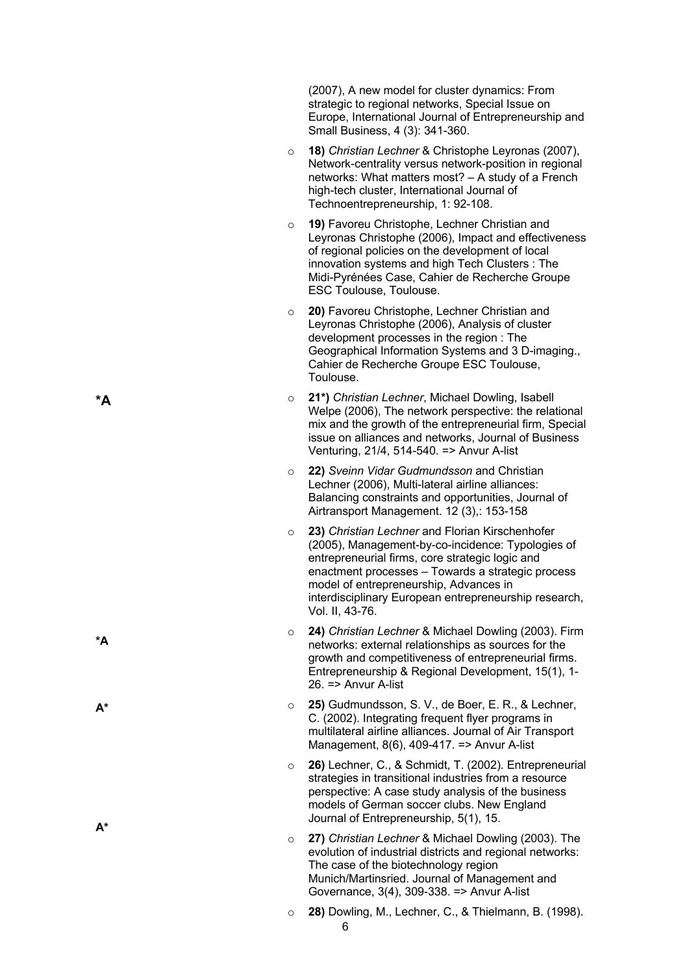(2007), A new model for cluster dynamics: From strategic to regional networks, Special Issue on Europe, International Journal of Entrepreneurship and Small Business, 4 (3): 341 -360.

- o **1 8 )** *Christian Lechner* & Christophe Leyronas (2007), Network -centrality versus network -position in regional networks: What matters most? – A study of a French high -tech cluster, International Journal of Technoentrepreneurship, 1: 92 -108.
- o **1 9 )** Favoreu Christophe, Lechner Christian and Leyronas Christophe (2006), Impact and effectiveness of regional policies on the development of local innovation systems and high Tech Clusters : The Midi -Pyrénées Case, Cahier de Recherche Groupe ESC Toulouse, Toulouse.
- o **20 )** Favoreu Christophe, Lechner Christian and Leyronas Christophe (2006), Analysis of cluster development processes in the region : The Geographical Information Systems and 3 D -imaging., Cahier de Recherche Groupe ESC Toulouse, Toulouse.
- o **2 1 \* )** *Christian Lechner*, Michael Dowling, Isabell Welpe (2006), The network perspective: the relational mix and the growth of the entrepreneurial firm, Special issue on alliances and networks, Journal of Business Venturing, 21/4, 514 -540. => Anvur A -list
- o **2 2 )** *Sveinn Vidar Gudmundsson* and Christian Lechner (2006), Multi-lateral airline alliances: Balancing constraints and opportunities, Journal of Airtransport Management. 12 (3),: 153 -158
- o **2 3 )** *Christian Lechner* and Florian Kirschenhofer (2005), Management -by -co -incidence: Typologies of entrepreneurial firms, core strategic logic and enactment processes – Towards a strategic process model of entrepreneurship, Advances in interdisciplinary European entrepreneurship research, Vol. II, 43 -76.
- o **2 4 )** *Christian Lechner* & Michael Dowling (2003). Firm networks: external relationships as sources for the growth and competitiveness of entrepreneurial firms. Entrepreneurship & Regional Development, 15(1), 1 - 26. => Anvur A -list
- $\cap$ **2 5 )** Gudmundsson, S. V., de Boer, E. R., & Lechner, C. (2002). Integrating frequent flyer programs in multilateral airline alliances. Journal of Air Transport Management, 8(6), 409 -417. => Anvur A -list
- o **2 6 )** Lechner, C., & Schmidt, T. (2002). Entrepreneurial strategies in transitional industries from a resource perspective: A case study analysis of the business models of German soccer clubs. New England Journal of Entrepreneurship, 5(1), 15.
- $\cap$ **2 7 )** *Christian Lechner* & Michael Dowling (2003). The evolution of industrial districts and regional networks: The case of the biotechnology region Munich/Martinsried. Journal of Management and Governance, 3(4), 309 -338. => Anvur A -list
- 6 o **2 8 )** Dowling, M., Lechner, C., & Thielmann, B. (1998).

**\* A**

**\*A**

**A\***

**A\***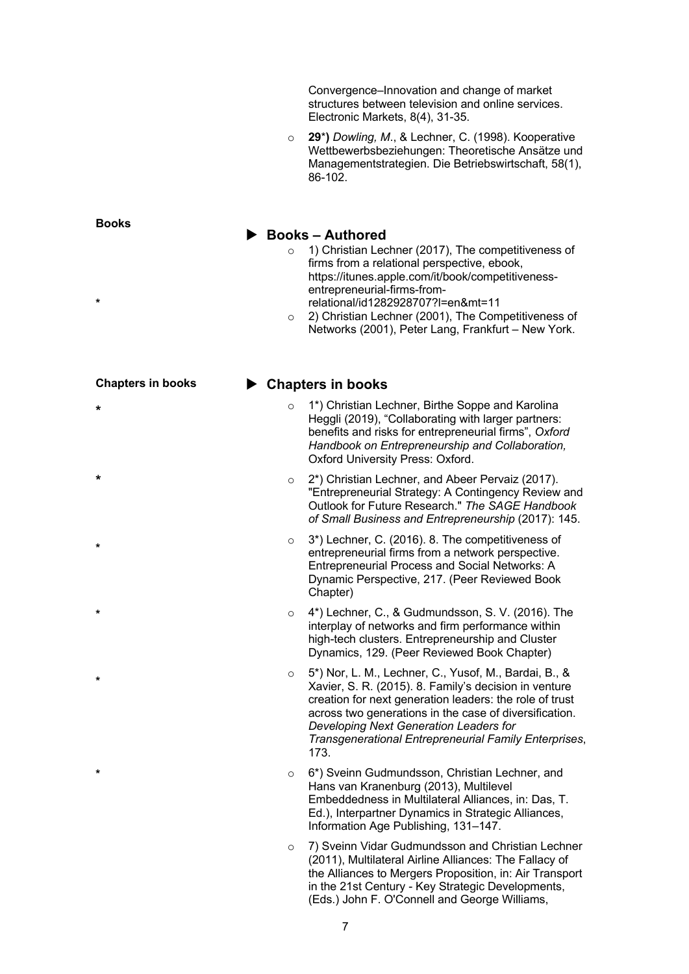Convergence–Innovation and change of market structures between television and online services. Electronic Markets, 8(4), 31-35.

o **29**\***)** *Dowling, M*., & Lechner, C. (1998). Kooperative Wettbewerbsbeziehungen: Theoretische Ansätze und Managementstrategien. Die Betriebswirtschaft, 58(1), 86-102.

### ▶ Books – Authored

- o 1) Christian Lechner (2017), The competitiveness of firms from a relational perspective, ebook, https://itunes.apple.com/it/book/competitivenessentrepreneurial-firms-fromrelational/id1282928707?l=en&mt=11
- o 2) Christian Lechner (2001), The Competitiveness of Networks (2001), Peter Lang, Frankfurt – New York.

## ▶ Chapters in books

- 1\*) Christian Lechner, Birthe Soppe and Karolina Heggli (2019), "Collaborating with larger partners: benefits and risks for entrepreneurial firms", *Oxford Handbook on Entrepreneurship and Collaboration,*  Oxford University Press: Oxford.
- o 2\*) Christian Lechner, and Abeer Pervaiz (2017). "Entrepreneurial Strategy: A Contingency Review and Outlook for Future Research." *The SAGE Handbook of Small Business and Entrepreneurship* (2017): 145.
- o 3\*) Lechner, C. (2016). 8. The competitiveness of entrepreneurial firms from a network perspective. Entrepreneurial Process and Social Networks: A Dynamic Perspective, 217. (Peer Reviewed Book Chapter)
- 4\*) Lechner, C., & Gudmundsson, S. V. (2016). The interplay of networks and firm performance within high-tech clusters. Entrepreneurship and Cluster Dynamics, 129. (Peer Reviewed Book Chapter)
- o 5\*) Nor, L. M., Lechner, C., Yusof, M., Bardai, B., & Xavier, S. R. (2015). 8. Family's decision in venture creation for next generation leaders: the role of trust across two generations in the case of diversification. *Developing Next Generation Leaders for Transgenerational Entrepreneurial Family Enterprises*, 173.
- o 6\*) Sveinn Gudmundsson, Christian Lechner, and Hans van Kranenburg (2013), Multilevel Embeddedness in Multilateral Alliances, in: Das, T. Ed.), Interpartner Dynamics in Strategic Alliances, Information Age Publishing, 131–147.
- 7) Sveinn Vidar Gudmundsson and Christian Lechner (2011), Multilateral Airline Alliances: The Fallacy of the Alliances to Mergers Proposition, in: Air Transport in the 21st Century - Key Strategic Developments, (Eds.) John F. O'Connell and George Williams,

7

**Books**

- **Chapters in books**
- **\***

**\***

**\***

**\***

**\***

**\***

**\***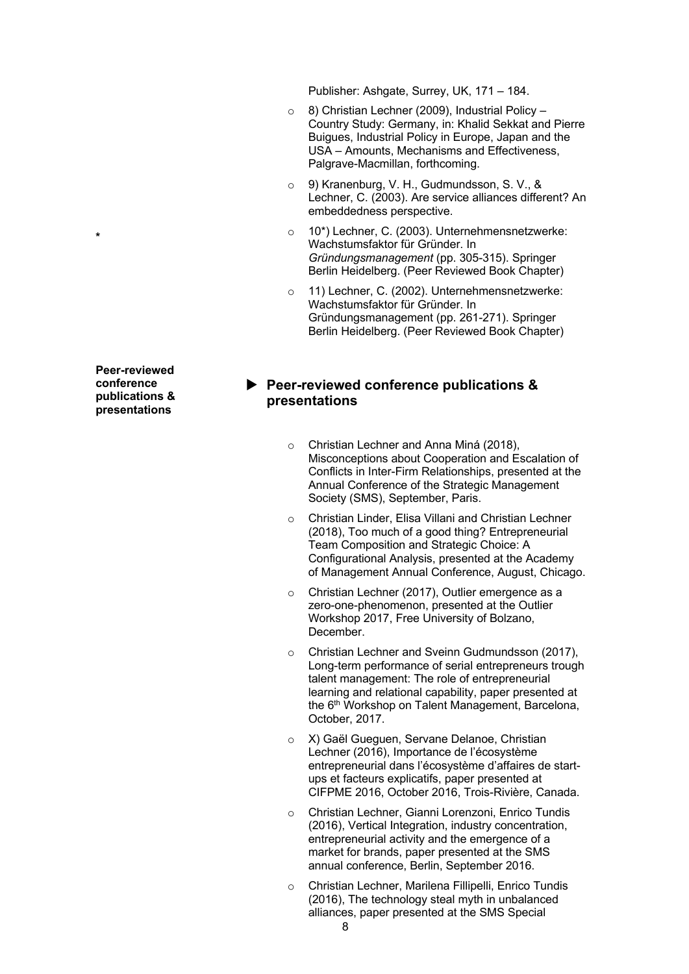Publisher: Ashgate, Surrey, UK, 171 – 184.

- o 8) Christian Lechner (2009), Industrial Policy Country Study: Germany, in: Khalid Sekkat and Pierre Buigues, Industrial Policy in Europe, Japan and the USA – Amounts, Mechanisms and Effectiveness, Palgrave-Macmillan, forthcoming.
- 9) Kranenburg, V. H., Gudmundsson, S. V., & Lechner, C. (2003). Are service alliances different? An embeddedness perspective.
- o 10\*) Lechner, C. (2003). Unternehmensnetzwerke: Wachstumsfaktor für Gründer. In *Gründungsmanagement* (pp. 305-315). Springer Berlin Heidelberg. (Peer Reviewed Book Chapter)
- o 11) Lechner, C. (2002). Unternehmensnetzwerke: Wachstumsfaktor für Gründer. In Gründungsmanagement (pp. 261-271). Springer Berlin Heidelberg. (Peer Reviewed Book Chapter)

# ▶ Peer-reviewed conference publications & **presentations**

- o Christian Lechner and Anna Miná (2018), Misconceptions about Cooperation and Escalation of Conflicts in Inter-Firm Relationships, presented at the Annual Conference of the Strategic Management Society (SMS), September, Paris.
- Christian Linder, Elisa Villani and Christian Lechner (2018), Too much of a good thing? Entrepreneurial Team Composition and Strategic Choice: A Configurational Analysis, presented at the Academy of Management Annual Conference, August, Chicago.
- o Christian Lechner (2017), Outlier emergence as a zero-one-phenomenon, presented at the Outlier Workshop 2017, Free University of Bolzano, December.
- o Christian Lechner and Sveinn Gudmundsson (2017), Long-term performance of serial entrepreneurs trough talent management: The role of entrepreneurial learning and relational capability, paper presented at the 6<sup>th</sup> Workshop on Talent Management, Barcelona, October, 2017.
- X) Gaël Gueguen, Servane Delanoe, Christian Lechner (2016), Importance de l'écosystème entrepreneurial dans l'écosystème d'affaires de startups et facteurs explicatifs, paper presented at CIFPME 2016, October 2016, Trois-Rivière, Canada.
- o Christian Lechner, Gianni Lorenzoni, Enrico Tundis (2016), Vertical Integration, industry concentration, entrepreneurial activity and the emergence of a market for brands, paper presented at the SMS annual conference, Berlin, September 2016.
- Christian Lechner, Marilena Fillipelli, Enrico Tundis (2016), The technology steal myth in unbalanced alliances, paper presented at the SMS Special

**Peer-reviewed conference publications & presentations**

**\***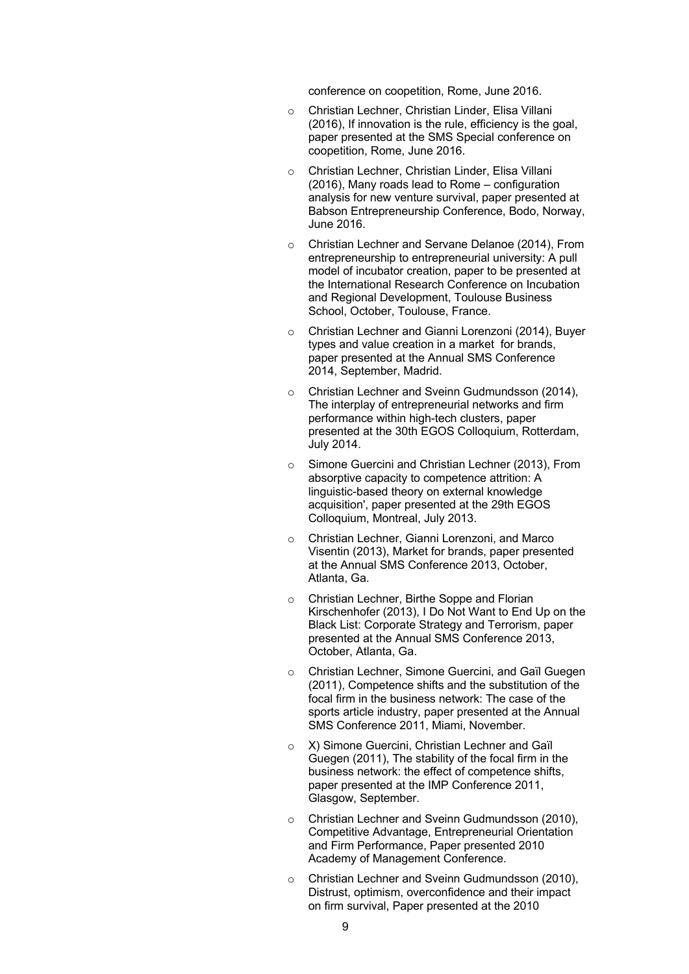conference on coopetition, Rome, June 2016.

- o Christian Lechner, Christian Linder, Elisa Villani (2016), If innovation is the rule, efficiency is the goal, paper presented at the SMS Special conference on coopetition, Rome, June 2016.
- Christian Lechner, Christian Linder, Elisa Villani (2016), Many roads lead to Rome – configuration analysis for new venture survival, paper presented at Babson Entrepreneurship Conference, Bodo, Norway, June 2016.
- o Christian Lechner and Servane Delanoe (2014), From entrepreneurship to entrepreneurial university: A pull model of incubator creation, paper to be presented at the International Research Conference on Incubation and Regional Development, Toulouse Business School, October, Toulouse, France.
- o Christian Lechner and Gianni Lorenzoni (2014), Buyer types and value creation in a market for brands, paper presented at the Annual SMS Conference 2014, September, Madrid.
- o Christian Lechner and Sveinn Gudmundsson (2014), The interplay of entrepreneurial networks and firm performance within high-tech clusters, paper presented at the 30th EGOS Colloquium, Rotterdam, July 2014.
- o Simone Guercini and Christian Lechner (2013), From absorptive capacity to competence attrition: A linguistic-based theory on external knowledge acquisition', paper presented at the 29th EGOS Colloquium, Montreal, July 2013.
- o Christian Lechner, Gianni Lorenzoni, and Marco Visentin (2013), Market for brands, paper presented at the Annual SMS Conference 2013, October, Atlanta, Ga.
- o Christian Lechner, Birthe Soppe and Florian Kirschenhofer (2013), I Do Not Want to End Up on the Black List: Corporate Strategy and Terrorism, paper presented at the Annual SMS Conference 2013, October, Atlanta, Ga.
- o Christian Lechner, Simone Guercini, and Gaïl Guegen (2011), Competence shifts and the substitution of the focal firm in the business network: The case of the sports article industry, paper presented at the Annual SMS Conference 2011, Miami, November.
- o X) Simone Guercini, Christian Lechner and Gaïl Guegen (2011), The stability of the focal firm in the business network: the effect of competence shifts, paper presented at the IMP Conference 2011, Glasgow, September.
- o Christian Lechner and Sveinn Gudmundsson (2010), Competitive Advantage, Entrepreneurial Orientation and Firm Performance, Paper presented 2010 Academy of Management Conference.
- Christian Lechner and Sveinn Gudmundsson (2010), Distrust, optimism, overconfidence and their impact on firm survival, Paper presented at the 2010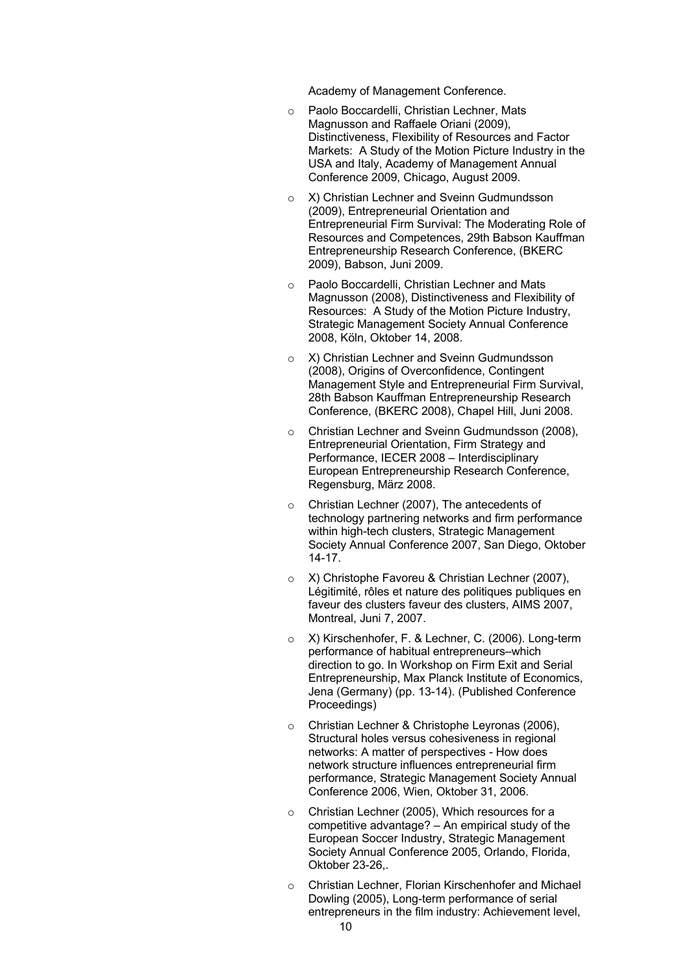Academy of Management Conference.

- o Paolo Boccardelli, Christian Lechner, Mats Magnusson and Raffaele Oriani (2009), Distinctiveness, Flexibility of Resources and Factor Markets: A Study of the Motion Picture Industry in the USA and Italy, Academy of Management Annual Conference 2009, Chicago, August 2009.
- o X) Christian Lechner and Sveinn Gudmundsson (2009), Entrepreneurial Orientation and Entrepreneurial Firm Survival: The Moderating Role of Resources and Competences, 29th Babson Kauffman Entrepreneurship Research Conference, (BKERC 2009), Babson, Juni 2009.
- o Paolo Boccardelli, Christian Lechner and Mats Magnusson (2008), Distinctiveness and Flexibility of Resources: A Study of the Motion Picture Industry, Strategic Management Society Annual Conference 2008, Köln, Oktober 14, 2008.
- o X) Christian Lechner and Sveinn Gudmundsson (2008), Origins of Overconfidence, Contingent Management Style and Entrepreneurial Firm Survival, 28th Babson Kauffman Entrepreneurship Research Conference, (BKERC 2008), Chapel Hill, Juni 2008.
- Christian Lechner and Sveinn Gudmundsson (2008), Entrepreneurial Orientation, Firm Strategy and Performance, IECER 2008 – Interdisciplinary European Entrepreneurship Research Conference, Regensburg, März 2008.
- o Christian Lechner (2007), The antecedents of technology partnering networks and firm performance within high-tech clusters, Strategic Management Society Annual Conference 2007, San Diego, Oktober 14-17.
- o X) Christophe Favoreu & Christian Lechner (2007), Légitimité, rôles et nature des politiques publiques en faveur des clusters faveur des clusters, AIMS 2007, Montreal, Juni 7, 2007.
- X) Kirschenhofer, F. & Lechner, C. (2006). Long-term performance of habitual entrepreneurs–which direction to go. In Workshop on Firm Exit and Serial Entrepreneurship, Max Planck Institute of Economics, Jena (Germany) (pp. 13-14). (Published Conference Proceedings)
- o Christian Lechner & Christophe Leyronas (2006), Structural holes versus cohesiveness in regional networks: A matter of perspectives - How does network structure influences entrepreneurial firm performance, Strategic Management Society Annual Conference 2006, Wien, Oktober 31, 2006.
- o Christian Lechner (2005), Which resources for a competitive advantage? – An empirical study of the European Soccer Industry, Strategic Management Society Annual Conference 2005, Orlando, Florida, Oktober 23-26,.
- Christian Lechner, Florian Kirschenhofer and Michael Dowling (2005), Long-term performance of serial entrepreneurs in the film industry: Achievement level,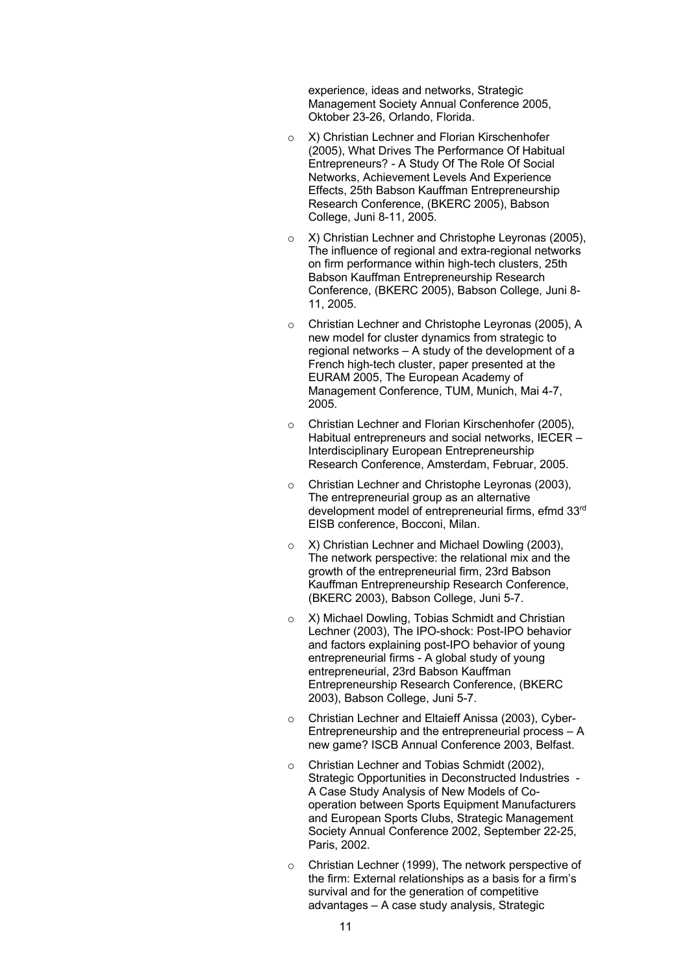experience, ideas and networks, Strategic Management Society Annual Conference 2005, Oktober 23-26, Orlando, Florida.

- o X) Christian Lechner and Florian Kirschenhofer (2005), What Drives The Performance Of Habitual Entrepreneurs? - A Study Of The Role Of Social Networks, Achievement Levels And Experience Effects, 25th Babson Kauffman Entrepreneurship Research Conference, (BKERC 2005), Babson College, Juni 8-11, 2005.
- o X) Christian Lechner and Christophe Leyronas (2005), The influence of regional and extra-regional networks on firm performance within high-tech clusters, 25th Babson Kauffman Entrepreneurship Research Conference, (BKERC 2005), Babson College, Juni 8- 11, 2005.
- o Christian Lechner and Christophe Leyronas (2005), A new model for cluster dynamics from strategic to regional networks – A study of the development of a French high-tech cluster, paper presented at the EURAM 2005, The European Academy of Management Conference, TUM, Munich, Mai 4-7, 2005.
- o Christian Lechner and Florian Kirschenhofer (2005), Habitual entrepreneurs and social networks, IECER – Interdisciplinary European Entrepreneurship Research Conference, Amsterdam, Februar, 2005.
- o Christian Lechner and Christophe Leyronas (2003), The entrepreneurial group as an alternative development model of entrepreneurial firms, efmd 33rd EISB conference, Bocconi, Milan.
- o X) Christian Lechner and Michael Dowling (2003), The network perspective: the relational mix and the growth of the entrepreneurial firm, 23rd Babson Kauffman Entrepreneurship Research Conference, (BKERC 2003), Babson College, Juni 5-7.
- o X) Michael Dowling, Tobias Schmidt and Christian Lechner (2003), The IPO-shock: Post-IPO behavior and factors explaining post-IPO behavior of young entrepreneurial firms - A global study of young entrepreneurial, 23rd Babson Kauffman Entrepreneurship Research Conference, (BKERC 2003), Babson College, Juni 5-7.
- o Christian Lechner and Eltaieff Anissa (2003), Cyber-Entrepreneurship and the entrepreneurial process – A new game? ISCB Annual Conference 2003, Belfast.
- Christian Lechner and Tobias Schmidt (2002), Strategic Opportunities in Deconstructed Industries - A Case Study Analysis of New Models of Cooperation between Sports Equipment Manufacturers and European Sports Clubs, Strategic Management Society Annual Conference 2002, September 22-25, Paris, 2002.
- o Christian Lechner (1999), The network perspective of the firm: External relationships as a basis for a firm's survival and for the generation of competitive advantages – A case study analysis, Strategic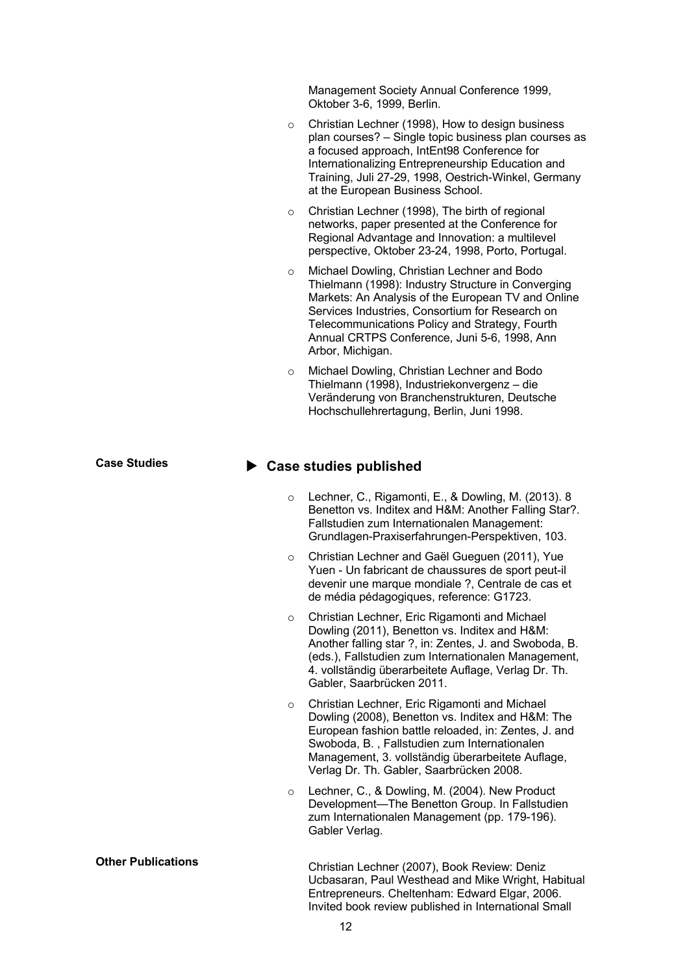Management Society Annual Conference 1999, Oktober 3-6, 1999, Berlin.

- o Christian Lechner (1998), How to design business plan courses? – Single topic business plan courses as a focused approach, IntEnt98 Conference for Internationalizing Entrepreneurship Education and Training, Juli 27-29, 1998, Oestrich-Winkel, Germany at the European Business School.
- o Christian Lechner (1998), The birth of regional networks, paper presented at the Conference for Regional Advantage and Innovation: a multilevel perspective, Oktober 23-24, 1998, Porto, Portugal.
- o Michael Dowling, Christian Lechner and Bodo Thielmann (1998): Industry Structure in Converging Markets: An Analysis of the European TV and Online Services Industries, Consortium for Research on Telecommunications Policy and Strategy, Fourth Annual CRTPS Conference, Juni 5-6, 1998, Ann Arbor, Michigan.
- o Michael Dowling, Christian Lechner and Bodo Thielmann (1998), Industriekonvergenz – die Veränderung von Branchenstrukturen, Deutsche Hochschullehrertagung, Berlin, Juni 1998.

### ▶ Case studies published

- o Lechner, C., Rigamonti, E., & Dowling, M. (2013). 8 Benetton vs. Inditex and H&M: Another Falling Star?. Fallstudien zum Internationalen Management: Grundlagen-Praxiserfahrungen-Perspektiven, 103.
- o Christian Lechner and Gaël Gueguen (2011), Yue Yuen - Un fabricant de chaussures de sport peut-il devenir une marque mondiale ?, Centrale de cas et de média pédagogiques, reference: G1723.
- o Christian Lechner, Eric Rigamonti and Michael Dowling (2011), Benetton vs. Inditex and H&M: Another falling star ?, in: Zentes, J. and Swoboda, B. (eds.), Fallstudien zum Internationalen Management, 4. vollständig überarbeitete Auflage, Verlag Dr. Th. Gabler, Saarbrücken 2011.
- o Christian Lechner, Eric Rigamonti and Michael Dowling (2008), Benetton vs. Inditex and H&M: The European fashion battle reloaded, in: Zentes, J. and Swoboda, B. , Fallstudien zum Internationalen Management, 3. vollständig überarbeitete Auflage, Verlag Dr. Th. Gabler, Saarbrücken 2008.
- o Lechner, C., & Dowling, M. (2004). New Product Development—The Benetton Group. In Fallstudien zum Internationalen Management (pp. 179-196). Gabler Verlag.

**Other Publications** Christian Lechner (2007), Book Review: Deniz Ucbasaran, Paul Westhead and Mike Wright, Habitual Entrepreneurs. Cheltenham: Edward Elgar, 2006. Invited book review published in International Small

**Case Studies**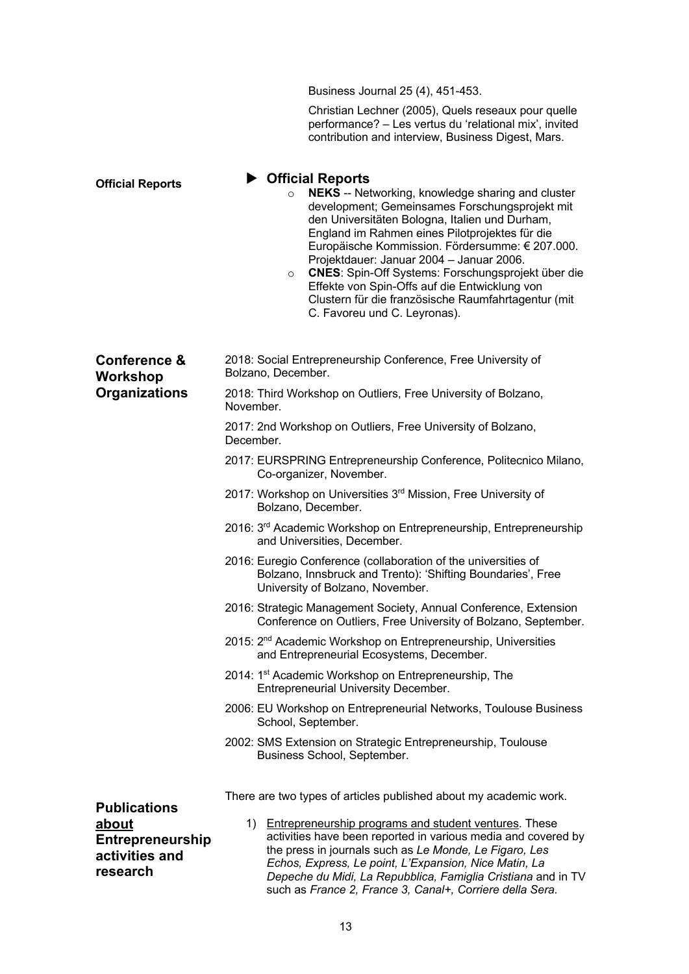Business Journal 25 (4), 451-453.

Christian Lechner (2005), Quels reseaux pour quelle performance? – Les vertus du 'relational mix', invited contribution and interview, Business Digest, Mars.

**Official Reports**

#### ▶ Official Reports

- o **NEKS** -- Networking, knowledge sharing and cluster development; Gemeinsames Forschungsprojekt mit den Universitäten Bologna, Italien und Durham, England im Rahmen eines Pilotprojektes für die Europäische Kommission. Fördersumme: € 207.000. Projektdauer: Januar 2004 – Januar 2006.
- o **CNES**: Spin-Off Systems: Forschungsprojekt über die Effekte von Spin-Offs auf die Entwicklung von Clustern für die französische Raumfahrtagentur (mit C. Favoreu und C. Leyronas).

| <b>Conference &amp;</b><br>Workshop<br><b>Organizations</b>    | 2018: Social Entrepreneurship Conference, Free University of<br>Bolzano, December.                                                                                                                                                                                                                                                                                                 |  |  |  |  |
|----------------------------------------------------------------|------------------------------------------------------------------------------------------------------------------------------------------------------------------------------------------------------------------------------------------------------------------------------------------------------------------------------------------------------------------------------------|--|--|--|--|
|                                                                | 2018: Third Workshop on Outliers, Free University of Bolzano,<br>November.                                                                                                                                                                                                                                                                                                         |  |  |  |  |
|                                                                | 2017: 2nd Workshop on Outliers, Free University of Bolzano,<br>December.                                                                                                                                                                                                                                                                                                           |  |  |  |  |
|                                                                | 2017: EURSPRING Entrepreneurship Conference, Politecnico Milano,<br>Co-organizer, November.                                                                                                                                                                                                                                                                                        |  |  |  |  |
|                                                                | 2017: Workshop on Universities 3rd Mission, Free University of<br>Bolzano, December.                                                                                                                                                                                                                                                                                               |  |  |  |  |
|                                                                | 2016: 3 <sup>rd</sup> Academic Workshop on Entrepreneurship, Entrepreneurship<br>and Universities, December.                                                                                                                                                                                                                                                                       |  |  |  |  |
|                                                                | 2016: Euregio Conference (collaboration of the universities of<br>Bolzano, Innsbruck and Trento): 'Shifting Boundaries', Free<br>University of Bolzano, November.                                                                                                                                                                                                                  |  |  |  |  |
|                                                                | 2016: Strategic Management Society, Annual Conference, Extension<br>Conference on Outliers, Free University of Bolzano, September.                                                                                                                                                                                                                                                 |  |  |  |  |
|                                                                | 2015: 2 <sup>nd</sup> Academic Workshop on Entrepreneurship, Universities<br>and Entrepreneurial Ecosystems, December.                                                                                                                                                                                                                                                             |  |  |  |  |
|                                                                | 2014: 1 <sup>st</sup> Academic Workshop on Entrepreneurship, The<br><b>Entrepreneurial University December.</b>                                                                                                                                                                                                                                                                    |  |  |  |  |
|                                                                | 2006: EU Workshop on Entrepreneurial Networks, Toulouse Business<br>School, September.                                                                                                                                                                                                                                                                                             |  |  |  |  |
|                                                                | 2002: SMS Extension on Strategic Entrepreneurship, Toulouse<br>Business School, September.                                                                                                                                                                                                                                                                                         |  |  |  |  |
| <b>Publications</b>                                            | There are two types of articles published about my academic work.                                                                                                                                                                                                                                                                                                                  |  |  |  |  |
| about<br><b>Entrepreneurship</b><br>activities and<br>research | <b>Entrepreneurship programs and student ventures. These</b><br>1)<br>activities have been reported in various media and covered by<br>the press in journals such as Le Monde, Le Figaro, Les<br>Echos, Express, Le point, L'Expansion, Nice Matin, La<br>Depeche du Midi, La Repubblica, Famiglia Cristiana and in TV<br>such as France 2, France 3, Canal+, Corriere della Sera. |  |  |  |  |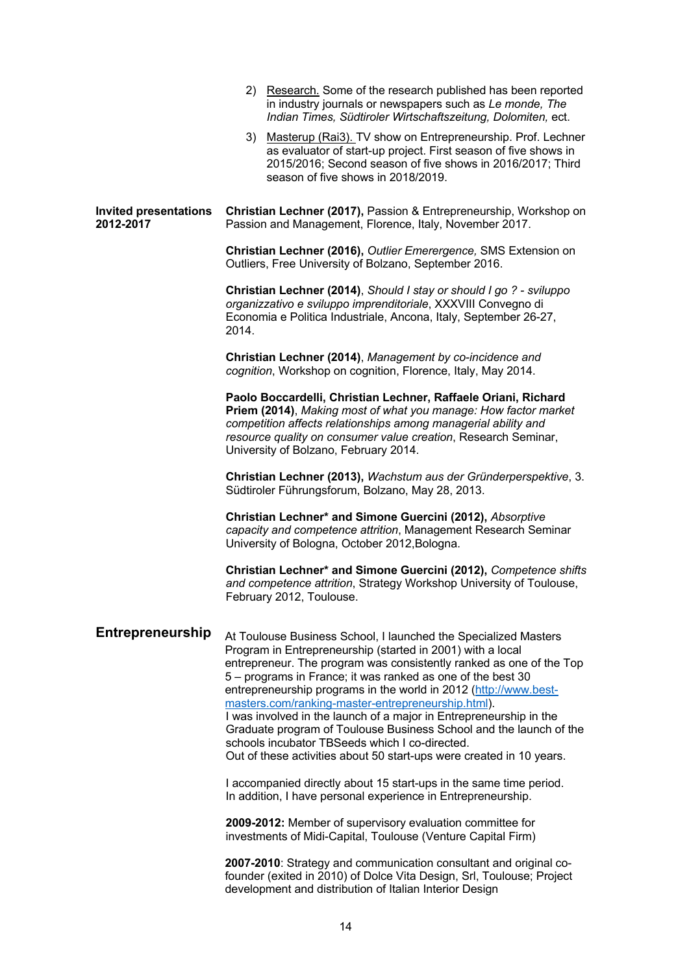|                                           | 2) Research. Some of the research published has been reported<br>in industry journals or newspapers such as Le monde, The<br>Indian Times, Südtiroler Wirtschaftszeitung, Dolomiten, ect.                                                                                                                                                                                                                                                                                                                                                                                                                                                                           |  |
|-------------------------------------------|---------------------------------------------------------------------------------------------------------------------------------------------------------------------------------------------------------------------------------------------------------------------------------------------------------------------------------------------------------------------------------------------------------------------------------------------------------------------------------------------------------------------------------------------------------------------------------------------------------------------------------------------------------------------|--|
|                                           | 3) Masterup (Rai3). TV show on Entrepreneurship. Prof. Lechner<br>as evaluator of start-up project. First season of five shows in<br>2015/2016; Second season of five shows in 2016/2017; Third<br>season of five shows in 2018/2019.                                                                                                                                                                                                                                                                                                                                                                                                                               |  |
| <b>Invited presentations</b><br>2012-2017 | Christian Lechner (2017), Passion & Entrepreneurship, Workshop on<br>Passion and Management, Florence, Italy, November 2017.                                                                                                                                                                                                                                                                                                                                                                                                                                                                                                                                        |  |
|                                           | Christian Lechner (2016), Outlier Emerergence, SMS Extension on<br>Outliers, Free University of Bolzano, September 2016.                                                                                                                                                                                                                                                                                                                                                                                                                                                                                                                                            |  |
|                                           | Christian Lechner (2014), Should I stay or should I go ? - sviluppo<br>organizzativo e sviluppo imprenditoriale, XXXVIII Convegno di<br>Economia e Politica Industriale, Ancona, Italy, September 26-27,<br>2014.                                                                                                                                                                                                                                                                                                                                                                                                                                                   |  |
|                                           | Christian Lechner (2014), Management by co-incidence and<br>cognition, Workshop on cognition, Florence, Italy, May 2014.                                                                                                                                                                                                                                                                                                                                                                                                                                                                                                                                            |  |
|                                           | Paolo Boccardelli, Christian Lechner, Raffaele Oriani, Richard<br>Priem (2014), Making most of what you manage: How factor market<br>competition affects relationships among managerial ability and<br>resource quality on consumer value creation, Research Seminar,<br>University of Bolzano, February 2014.                                                                                                                                                                                                                                                                                                                                                      |  |
|                                           | Christian Lechner (2013), Wachstum aus der Gründerperspektive, 3.<br>Südtiroler Führungsforum, Bolzano, May 28, 2013.                                                                                                                                                                                                                                                                                                                                                                                                                                                                                                                                               |  |
|                                           | Christian Lechner* and Simone Guercini (2012), Absorptive<br>capacity and competence attrition, Management Research Seminar<br>University of Bologna, October 2012, Bologna.                                                                                                                                                                                                                                                                                                                                                                                                                                                                                        |  |
|                                           | Christian Lechner* and Simone Guercini (2012), Competence shifts<br>and competence attrition, Strategy Workshop University of Toulouse,<br>February 2012, Toulouse.                                                                                                                                                                                                                                                                                                                                                                                                                                                                                                 |  |
| <b>Entrepreneurship</b>                   | At Toulouse Business School, I launched the Specialized Masters<br>Program in Entrepreneurship (started in 2001) with a local<br>entrepreneur. The program was consistently ranked as one of the Top<br>5 – programs in France; it was ranked as one of the best 30<br>entrepreneurship programs in the world in 2012 (http://www.best-<br>masters.com/ranking-master-entrepreneurship.html).<br>I was involved in the launch of a major in Entrepreneurship in the<br>Graduate program of Toulouse Business School and the launch of the<br>schools incubator TBSeeds which I co-directed.<br>Out of these activities about 50 start-ups were created in 10 years. |  |
|                                           | I accompanied directly about 15 start-ups in the same time period.<br>In addition, I have personal experience in Entrepreneurship.                                                                                                                                                                                                                                                                                                                                                                                                                                                                                                                                  |  |
|                                           | 2009-2012: Member of supervisory evaluation committee for<br>investments of Midi-Capital, Toulouse (Venture Capital Firm)                                                                                                                                                                                                                                                                                                                                                                                                                                                                                                                                           |  |
|                                           | 2007-2010: Strategy and communication consultant and original co-<br>founder (exited in 2010) of Dolce Vita Design, Srl, Toulouse; Project<br>development and distribution of Italian Interior Design                                                                                                                                                                                                                                                                                                                                                                                                                                                               |  |